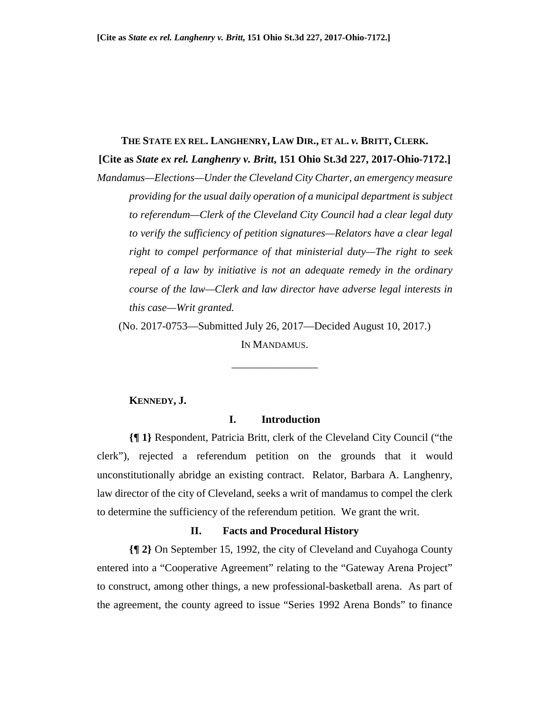#### **THE STATE EX REL. LANGHENRY, LAW DIR., ET AL.** *v.* **BRITT, CLERK.**

**[Cite as** *State ex rel. Langhenry v. Britt***, 151 Ohio St.3d 227, 2017-Ohio-7172.]** 

*Mandamus—Elections—Under the Cleveland City Charter, an emergency measure providing for the usual daily operation of a municipal department is subject to referendum—Clerk of the Cleveland City Council had a clear legal duty to verify the sufficiency of petition signatures—Relators have a clear legal right to compel performance of that ministerial duty—The right to seek repeal of a law by initiative is not an adequate remedy in the ordinary course of the law—Clerk and law director have adverse legal interests in this case—Writ granted.*

(No. 2017-0753—Submitted July 26, 2017—Decided August 10, 2017.) IN MANDAMUS.

\_\_\_\_\_\_\_\_\_\_\_\_\_\_\_\_

# **KENNEDY, J.**

# **I. Introduction**

**{¶ 1}** Respondent, Patricia Britt, clerk of the Cleveland City Council ("the clerk"), rejected a referendum petition on the grounds that it would unconstitutionally abridge an existing contract. Relator, Barbara A. Langhenry, law director of the city of Cleveland, seeks a writ of mandamus to compel the clerk to determine the sufficiency of the referendum petition. We grant the writ.

#### **II. Facts and Procedural History**

**{¶ 2}** On September 15, 1992, the city of Cleveland and Cuyahoga County entered into a "Cooperative Agreement" relating to the "Gateway Arena Project" to construct, among other things, a new professional-basketball arena. As part of the agreement, the county agreed to issue "Series 1992 Arena Bonds" to finance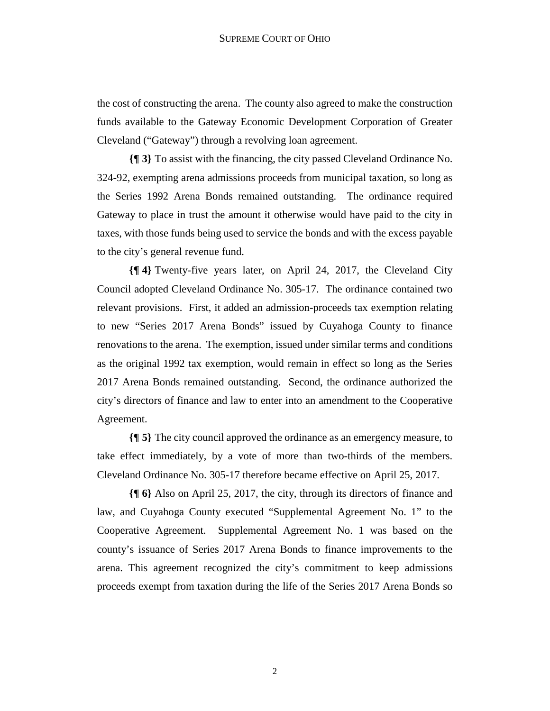the cost of constructing the arena. The county also agreed to make the construction funds available to the Gateway Economic Development Corporation of Greater Cleveland ("Gateway") through a revolving loan agreement.

**{¶ 3}** To assist with the financing, the city passed Cleveland Ordinance No. 324-92, exempting arena admissions proceeds from municipal taxation, so long as the Series 1992 Arena Bonds remained outstanding. The ordinance required Gateway to place in trust the amount it otherwise would have paid to the city in taxes, with those funds being used to service the bonds and with the excess payable to the city's general revenue fund.

**{¶ 4}** Twenty-five years later, on April 24, 2017, the Cleveland City Council adopted Cleveland Ordinance No. 305-17. The ordinance contained two relevant provisions. First, it added an admission-proceeds tax exemption relating to new "Series 2017 Arena Bonds" issued by Cuyahoga County to finance renovations to the arena. The exemption, issued under similar terms and conditions as the original 1992 tax exemption, would remain in effect so long as the Series 2017 Arena Bonds remained outstanding. Second, the ordinance authorized the city's directors of finance and law to enter into an amendment to the Cooperative Agreement.

**{¶ 5}** The city council approved the ordinance as an emergency measure, to take effect immediately, by a vote of more than two-thirds of the members. Cleveland Ordinance No. 305-17 therefore became effective on April 25, 2017.

**{¶ 6}** Also on April 25, 2017, the city, through its directors of finance and law, and Cuyahoga County executed "Supplemental Agreement No. 1" to the Cooperative Agreement. Supplemental Agreement No. 1 was based on the county's issuance of Series 2017 Arena Bonds to finance improvements to the arena. This agreement recognized the city's commitment to keep admissions proceeds exempt from taxation during the life of the Series 2017 Arena Bonds so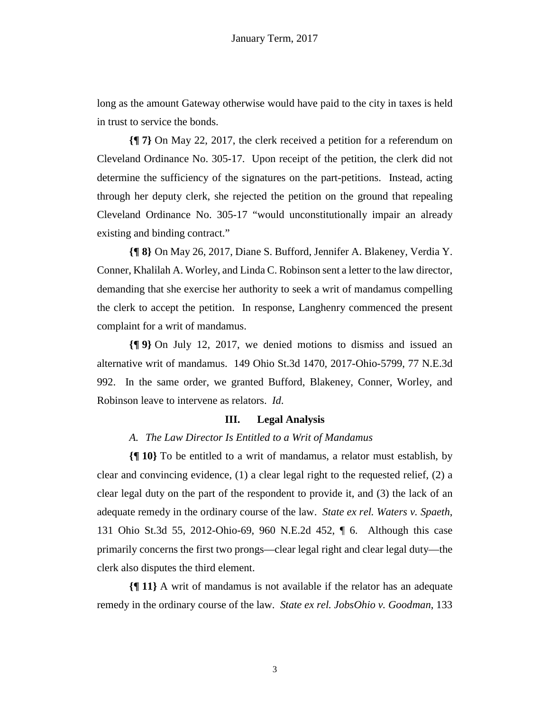long as the amount Gateway otherwise would have paid to the city in taxes is held in trust to service the bonds.

**{¶ 7}** On May 22, 2017, the clerk received a petition for a referendum on Cleveland Ordinance No. 305-17. Upon receipt of the petition, the clerk did not determine the sufficiency of the signatures on the part-petitions. Instead, acting through her deputy clerk, she rejected the petition on the ground that repealing Cleveland Ordinance No. 305-17 "would unconstitutionally impair an already existing and binding contract."

**{¶ 8}** On May 26, 2017, Diane S. Bufford, Jennifer A. Blakeney, Verdia Y. Conner, Khalilah A. Worley, and Linda C. Robinson sent a letter to the law director, demanding that she exercise her authority to seek a writ of mandamus compelling the clerk to accept the petition. In response, Langhenry commenced the present complaint for a writ of mandamus.

**{¶ 9}** On July 12, 2017, we denied motions to dismiss and issued an alternative writ of mandamus. 149 Ohio St.3d 1470, 2017-Ohio-5799, 77 N.E.3d 992. In the same order, we granted Bufford, Blakeney, Conner, Worley, and Robinson leave to intervene as relators. *Id*.

# **III. Legal Analysis**

# *A. The Law Director Is Entitled to a Writ of Mandamus*

**{¶ 10}** To be entitled to a writ of mandamus, a relator must establish, by clear and convincing evidence, (1) a clear legal right to the requested relief, (2) a clear legal duty on the part of the respondent to provide it, and (3) the lack of an adequate remedy in the ordinary course of the law. *State ex rel. Waters v. Spaeth*, 131 Ohio St.3d 55, 2012-Ohio-69, 960 N.E.2d 452, ¶ 6. Although this case primarily concerns the first two prongs—clear legal right and clear legal duty—the clerk also disputes the third element.

**{¶ 11}** A writ of mandamus is not available if the relator has an adequate remedy in the ordinary course of the law. *State ex rel. JobsOhio v. Goodman*, 133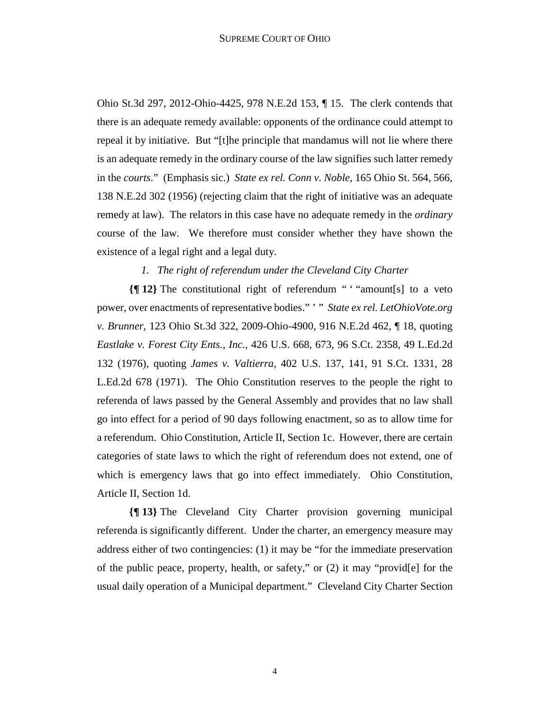Ohio St.3d 297, 2012-Ohio-4425, 978 N.E.2d 153, ¶ 15. The clerk contends that there is an adequate remedy available: opponents of the ordinance could attempt to repeal it by initiative. But "[t]he principle that mandamus will not lie where there is an adequate remedy in the ordinary course of the law signifies such latter remedy in the *courts*." (Emphasis sic.) *State ex rel. Conn v. Noble*, 165 Ohio St. 564, 566, 138 N.E.2d 302 (1956) (rejecting claim that the right of initiative was an adequate remedy at law). The relators in this case have no adequate remedy in the *ordinary* course of the law. We therefore must consider whether they have shown the existence of a legal right and a legal duty.

## *1. The right of referendum under the Cleveland City Charter*

**{¶ 12}** The constitutional right of referendum " ' "amount[s] to a veto power, over enactments of representative bodies." ' " *State ex rel. LetOhioVote.org v. Brunner*, 123 Ohio St.3d 322, 2009-Ohio-4900, 916 N.E.2d 462, ¶ 18, quoting *Eastlake v. Forest City Ents., Inc.*, 426 U.S. 668, 673, 96 S.Ct. 2358, 49 L.Ed.2d 132 (1976), quoting *James v. Valtierra*, 402 U.S. 137, 141, 91 S.Ct. 1331, 28 L.Ed.2d 678 (1971). The Ohio Constitution reserves to the people the right to referenda of laws passed by the General Assembly and provides that no law shall go into effect for a period of 90 days following enactment, so as to allow time for a referendum. Ohio Constitution, Article II, Section 1c. However, there are certain categories of state laws to which the right of referendum does not extend, one of which is emergency laws that go into effect immediately. Ohio Constitution, Article II, Section 1d.

**{¶ 13}** The Cleveland City Charter provision governing municipal referenda is significantly different. Under the charter, an emergency measure may address either of two contingencies: (1) it may be "for the immediate preservation of the public peace, property, health, or safety," or (2) it may "provid[e] for the usual daily operation of a Municipal department." Cleveland City Charter Section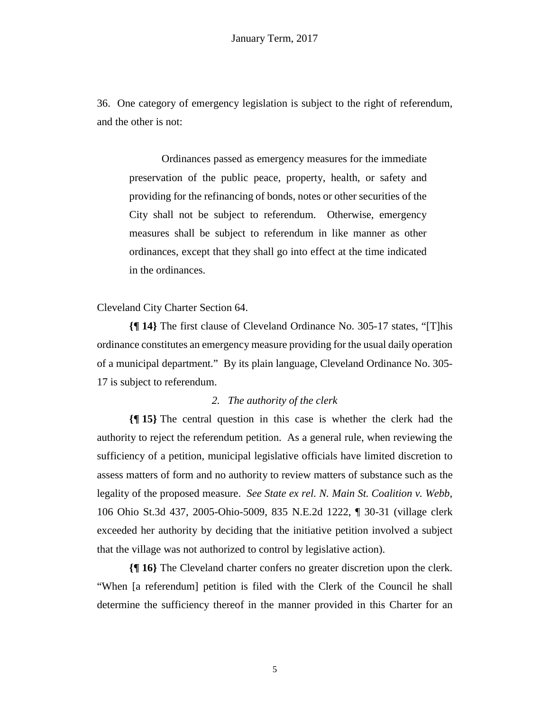36. One category of emergency legislation is subject to the right of referendum, and the other is not:

Ordinances passed as emergency measures for the immediate preservation of the public peace, property, health, or safety and providing for the refinancing of bonds, notes or other securities of the City shall not be subject to referendum. Otherwise, emergency measures shall be subject to referendum in like manner as other ordinances, except that they shall go into effect at the time indicated in the ordinances.

Cleveland City Charter Section 64.

**{¶ 14}** The first clause of Cleveland Ordinance No. 305-17 states, "[T]his ordinance constitutes an emergency measure providing for the usual daily operation of a municipal department." By its plain language, Cleveland Ordinance No. 305- 17 is subject to referendum.

### *2. The authority of the clerk*

**{¶ 15}** The central question in this case is whether the clerk had the authority to reject the referendum petition. As a general rule, when reviewing the sufficiency of a petition, municipal legislative officials have limited discretion to assess matters of form and no authority to review matters of substance such as the legality of the proposed measure. *See State ex rel. N. Main St. Coalition v. Webb*, 106 Ohio St.3d 437, 2005-Ohio-5009, 835 N.E.2d 1222, ¶ 30-31 (village clerk exceeded her authority by deciding that the initiative petition involved a subject that the village was not authorized to control by legislative action).

**{¶ 16}** The Cleveland charter confers no greater discretion upon the clerk. "When [a referendum] petition is filed with the Clerk of the Council he shall determine the sufficiency thereof in the manner provided in this Charter for an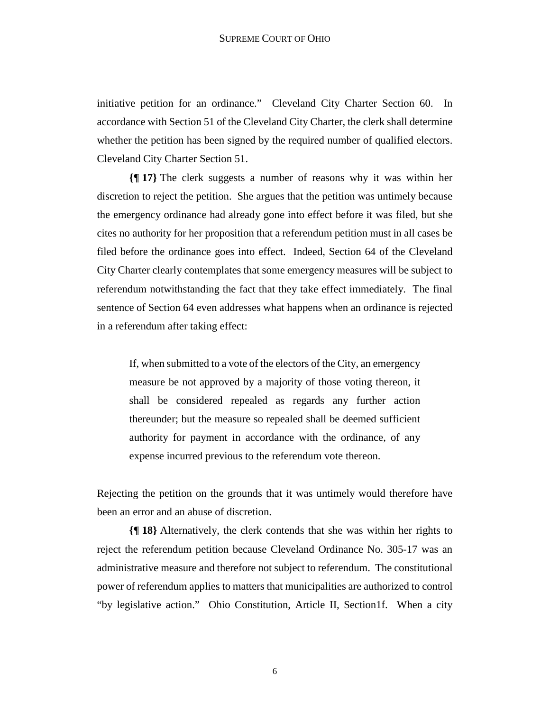initiative petition for an ordinance." Cleveland City Charter Section 60. In accordance with Section 51 of the Cleveland City Charter, the clerk shall determine whether the petition has been signed by the required number of qualified electors. Cleveland City Charter Section 51.

**{¶ 17}** The clerk suggests a number of reasons why it was within her discretion to reject the petition. She argues that the petition was untimely because the emergency ordinance had already gone into effect before it was filed, but she cites no authority for her proposition that a referendum petition must in all cases be filed before the ordinance goes into effect. Indeed, Section 64 of the Cleveland City Charter clearly contemplates that some emergency measures will be subject to referendum notwithstanding the fact that they take effect immediately. The final sentence of Section 64 even addresses what happens when an ordinance is rejected in a referendum after taking effect:

If, when submitted to a vote of the electors of the City, an emergency measure be not approved by a majority of those voting thereon, it shall be considered repealed as regards any further action thereunder; but the measure so repealed shall be deemed sufficient authority for payment in accordance with the ordinance, of any expense incurred previous to the referendum vote thereon.

Rejecting the petition on the grounds that it was untimely would therefore have been an error and an abuse of discretion.

**{¶ 18}** Alternatively, the clerk contends that she was within her rights to reject the referendum petition because Cleveland Ordinance No. 305-17 was an administrative measure and therefore not subject to referendum. The constitutional power of referendum applies to matters that municipalities are authorized to control "by legislative action." Ohio Constitution, Article II, Section1f. When a city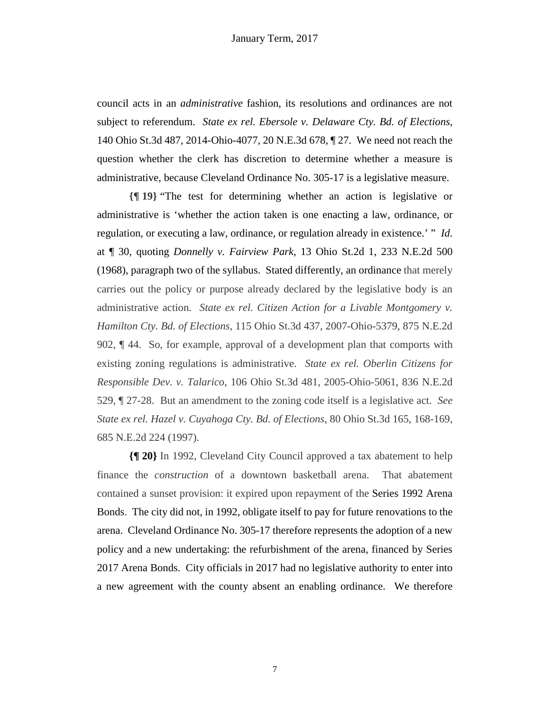council acts in an *administrative* fashion, its resolutions and ordinances are not subject to referendum. *State ex rel. Ebersole v. Delaware Cty. Bd. of Elections*, 140 Ohio St.3d 487, 2014-Ohio-4077, 20 N.E.3d 678, ¶ 27. We need not reach the question whether the clerk has discretion to determine whether a measure is administrative, because Cleveland Ordinance No. 305-17 is a legislative measure.

**{¶ 19}** "The test for determining whether an action is legislative or administrative is 'whether the action taken is one enacting a law, ordinance, or regulation, or executing a law, ordinance, or regulation already in existence.' " *Id*. at ¶ 30, quoting *Donnelly v. Fairview Park*, 13 Ohio St.2d 1, 233 N.E.2d 500 (1968), paragraph two of the syllabus. Stated differently, an ordinance that merely carries out the policy or purpose already declared by the legislative body is an administrative action. *State ex rel. Citizen Action for a Livable Montgomery v. Hamilton Cty. Bd. of Elections*, 115 Ohio St.3d 437, 2007-Ohio-5379, 875 N.E.2d 902, ¶ 44. So, for example, approval of a development plan that comports with existing zoning regulations is administrative. *State ex rel. Oberlin Citizens for Responsible Dev. v. Talarico*, 106 Ohio St.3d 481, 2005-Ohio-5061, 836 N.E.2d 529, ¶ 27-28. But an amendment to the zoning code itself is a legislative act. *See State ex rel. Hazel v. Cuyahoga Cty. Bd. of Elections*, 80 Ohio St.3d 165, 168-169, 685 N.E.2d 224 (1997).

**{¶ 20}** In 1992, Cleveland City Council approved a tax abatement to help finance the *construction* of a downtown basketball arena. That abatement contained a sunset provision: it expired upon repayment of the Series 1992 Arena Bonds. The city did not, in 1992, obligate itself to pay for future renovations to the arena. Cleveland Ordinance No. 305-17 therefore represents the adoption of a new policy and a new undertaking: the refurbishment of the arena, financed by Series 2017 Arena Bonds. City officials in 2017 had no legislative authority to enter into a new agreement with the county absent an enabling ordinance. We therefore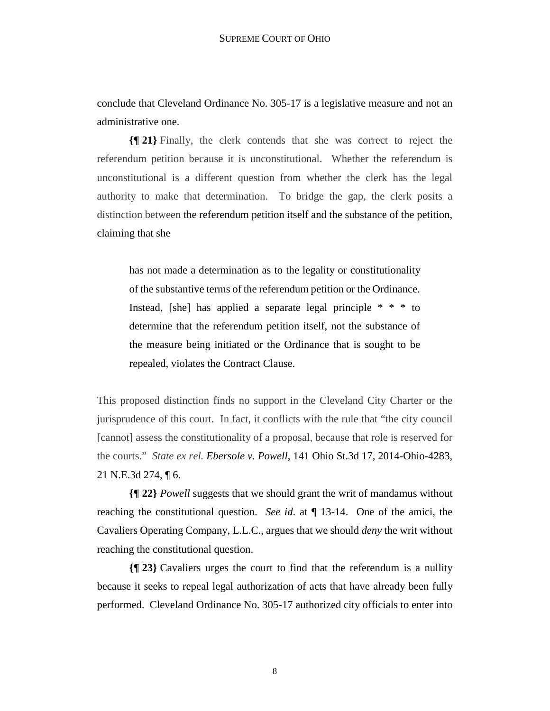conclude that Cleveland Ordinance No. 305-17 is a legislative measure and not an administrative one.

**{¶ 21}** Finally, the clerk contends that she was correct to reject the referendum petition because it is unconstitutional. Whether the referendum is unconstitutional is a different question from whether the clerk has the legal authority to make that determination. To bridge the gap, the clerk posits a distinction between the referendum petition itself and the substance of the petition, claiming that she

has not made a determination as to the legality or constitutionality of the substantive terms of the referendum petition or the Ordinance. Instead, [she] has applied a separate legal principle \* \* \* to determine that the referendum petition itself, not the substance of the measure being initiated or the Ordinance that is sought to be repealed, violates the Contract Clause.

This proposed distinction finds no support in the Cleveland City Charter or the jurisprudence of this court. In fact, it conflicts with the rule that "the city council [cannot] assess the constitutionality of a proposal, because that role is reserved for the courts." *State ex rel. Ebersole v. Powell*, 141 Ohio St.3d 17, 2014-Ohio-4283, 21 N.E.3d 274, ¶ 6.

**{¶ 22}** *Powell* suggests that we should grant the writ of mandamus without reaching the constitutional question. *See id*. at ¶ 13-14. One of the amici, the Cavaliers Operating Company, L.L.C., argues that we should *deny* the writ without reaching the constitutional question.

**{¶ 23}** Cavaliers urges the court to find that the referendum is a nullity because it seeks to repeal legal authorization of acts that have already been fully performed. Cleveland Ordinance No. 305-17 authorized city officials to enter into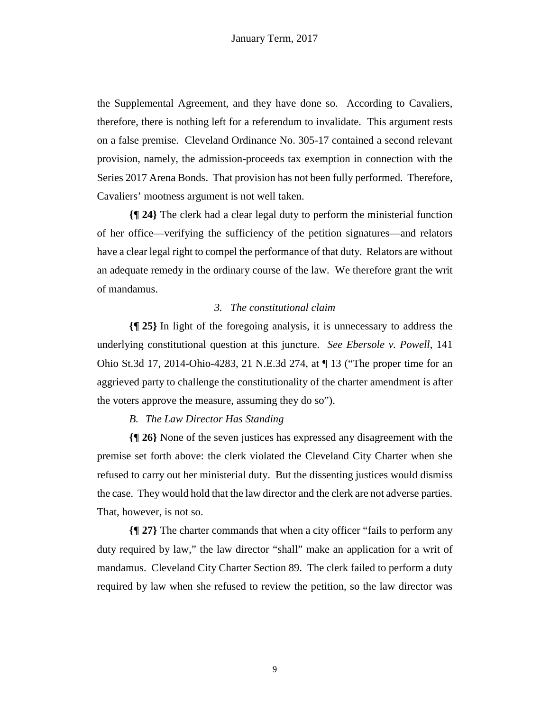the Supplemental Agreement, and they have done so. According to Cavaliers, therefore, there is nothing left for a referendum to invalidate. This argument rests on a false premise. Cleveland Ordinance No. 305-17 contained a second relevant provision, namely, the admission-proceeds tax exemption in connection with the Series 2017 Arena Bonds. That provision has not been fully performed. Therefore, Cavaliers' mootness argument is not well taken.

**{¶ 24}** The clerk had a clear legal duty to perform the ministerial function of her office—verifying the sufficiency of the petition signatures—and relators have a clear legal right to compel the performance of that duty. Relators are without an adequate remedy in the ordinary course of the law. We therefore grant the writ of mandamus.

#### *3. The constitutional claim*

**{¶ 25}** In light of the foregoing analysis, it is unnecessary to address the underlying constitutional question at this juncture. *See Ebersole v. Powell*, 141 Ohio St.3d 17, 2014-Ohio-4283, 21 N.E.3d 274, at ¶ 13 ("The proper time for an aggrieved party to challenge the constitutionality of the charter amendment is after the voters approve the measure, assuming they do so").

# *B. The Law Director Has Standing*

**{¶ 26}** None of the seven justices has expressed any disagreement with the premise set forth above: the clerk violated the Cleveland City Charter when she refused to carry out her ministerial duty. But the dissenting justices would dismiss the case. They would hold that the law director and the clerk are not adverse parties. That, however, is not so.

**{¶ 27}** The charter commands that when a city officer "fails to perform any duty required by law," the law director "shall" make an application for a writ of mandamus. Cleveland City Charter Section 89. The clerk failed to perform a duty required by law when she refused to review the petition, so the law director was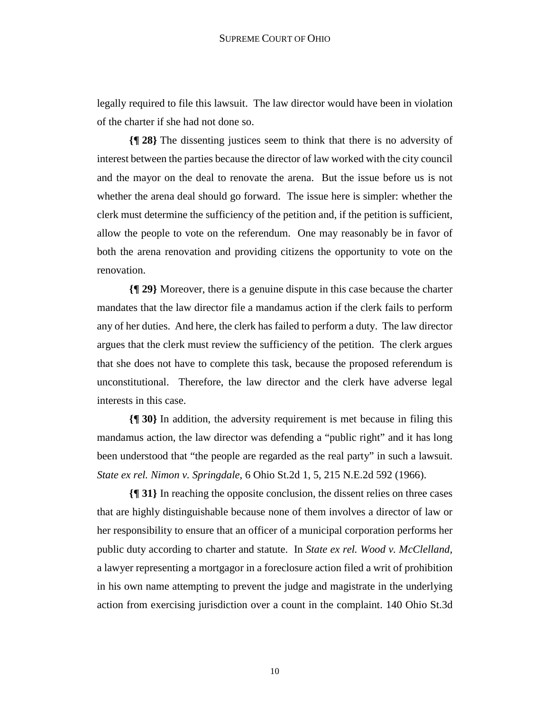legally required to file this lawsuit. The law director would have been in violation of the charter if she had not done so.

**{¶ 28}** The dissenting justices seem to think that there is no adversity of interest between the parties because the director of law worked with the city council and the mayor on the deal to renovate the arena. But the issue before us is not whether the arena deal should go forward. The issue here is simpler: whether the clerk must determine the sufficiency of the petition and, if the petition is sufficient, allow the people to vote on the referendum. One may reasonably be in favor of both the arena renovation and providing citizens the opportunity to vote on the renovation.

**{¶ 29}** Moreover, there is a genuine dispute in this case because the charter mandates that the law director file a mandamus action if the clerk fails to perform any of her duties. And here, the clerk has failed to perform a duty. The law director argues that the clerk must review the sufficiency of the petition. The clerk argues that she does not have to complete this task, because the proposed referendum is unconstitutional. Therefore, the law director and the clerk have adverse legal interests in this case.

**{¶ 30}** In addition, the adversity requirement is met because in filing this mandamus action, the law director was defending a "public right" and it has long been understood that "the people are regarded as the real party" in such a lawsuit. *State ex rel. Nimon v. Springdale*, 6 Ohio St.2d 1, 5, 215 N.E.2d 592 (1966).

**{¶ 31}** In reaching the opposite conclusion, the dissent relies on three cases that are highly distinguishable because none of them involves a director of law or her responsibility to ensure that an officer of a municipal corporation performs her public duty according to charter and statute. In *State ex rel. Wood v. McClelland*, a lawyer representing a mortgagor in a foreclosure action filed a writ of prohibition in his own name attempting to prevent the judge and magistrate in the underlying action from exercising jurisdiction over a count in the complaint. 140 Ohio St.3d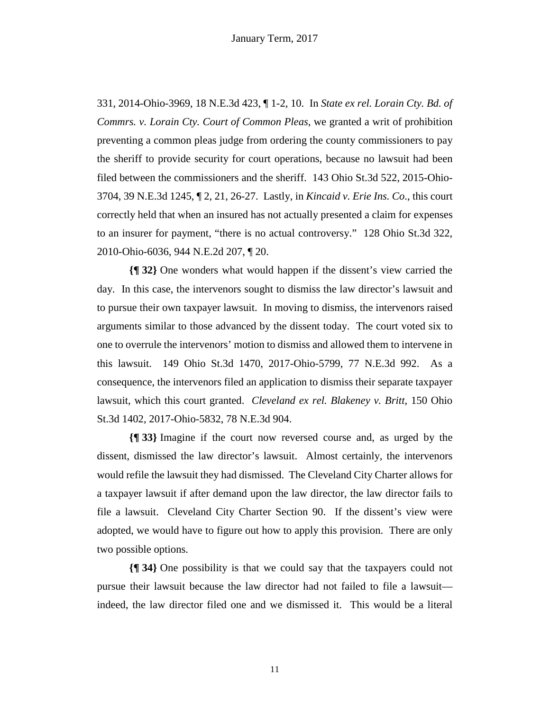331, 2014-Ohio-3969, 18 N.E.3d 423, ¶ 1-2, 10. In *State ex rel. Lorain Cty. Bd. of Commrs. v. Lorain Cty. Court of Common Pleas*, we granted a writ of prohibition preventing a common pleas judge from ordering the county commissioners to pay the sheriff to provide security for court operations, because no lawsuit had been filed between the commissioners and the sheriff. 143 Ohio St.3d 522, 2015-Ohio-3704, 39 N.E.3d 1245, ¶ 2, 21, 26-27. Lastly, in *Kincaid v. Erie Ins. Co*., this court correctly held that when an insured has not actually presented a claim for expenses to an insurer for payment, "there is no actual controversy." 128 Ohio St.3d 322, 2010-Ohio-6036, 944 N.E.2d 207, ¶ 20.

**{¶ 32}** One wonders what would happen if the dissent's view carried the day. In this case, the intervenors sought to dismiss the law director's lawsuit and to pursue their own taxpayer lawsuit. In moving to dismiss, the intervenors raised arguments similar to those advanced by the dissent today. The court voted six to one to overrule the intervenors' motion to dismiss and allowed them to intervene in this lawsuit. 149 Ohio St.3d 1470, 2017-Ohio-5799, 77 N.E.3d 992. As a consequence, the intervenors filed an application to dismiss their separate taxpayer lawsuit, which this court granted. *Cleveland ex rel. Blakeney v. Britt*, 150 Ohio St.3d 1402, 2017-Ohio-5832, 78 N.E.3d 904.

**{¶ 33}** Imagine if the court now reversed course and, as urged by the dissent, dismissed the law director's lawsuit. Almost certainly, the intervenors would refile the lawsuit they had dismissed. The Cleveland City Charter allows for a taxpayer lawsuit if after demand upon the law director, the law director fails to file a lawsuit. Cleveland City Charter Section 90. If the dissent's view were adopted, we would have to figure out how to apply this provision. There are only two possible options.

**{¶ 34}** One possibility is that we could say that the taxpayers could not pursue their lawsuit because the law director had not failed to file a lawsuit indeed, the law director filed one and we dismissed it. This would be a literal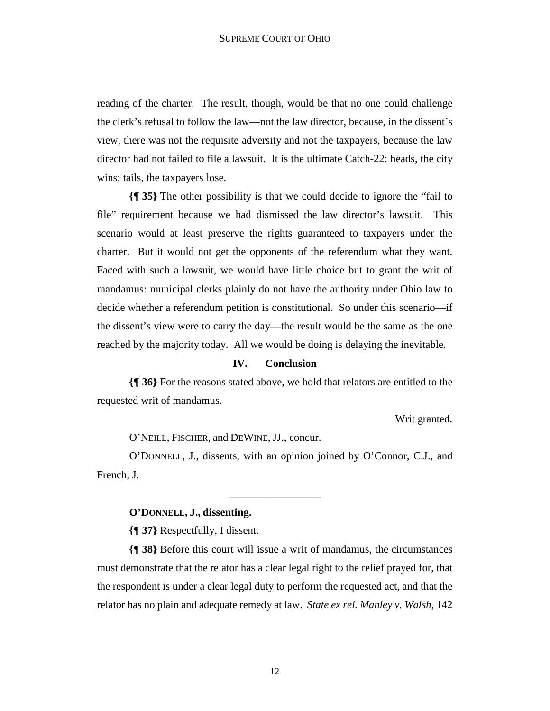reading of the charter. The result, though, would be that no one could challenge the clerk's refusal to follow the law—not the law director, because, in the dissent's view, there was not the requisite adversity and not the taxpayers, because the law director had not failed to file a lawsuit. It is the ultimate Catch-22: heads, the city wins; tails, the taxpayers lose.

**{¶ 35}** The other possibility is that we could decide to ignore the "fail to file" requirement because we had dismissed the law director's lawsuit. This scenario would at least preserve the rights guaranteed to taxpayers under the charter. But it would not get the opponents of the referendum what they want. Faced with such a lawsuit, we would have little choice but to grant the writ of mandamus: municipal clerks plainly do not have the authority under Ohio law to decide whether a referendum petition is constitutional. So under this scenario—if the dissent's view were to carry the day—the result would be the same as the one reached by the majority today. All we would be doing is delaying the inevitable.

# **IV. Conclusion**

**{¶ 36}** For the reasons stated above, we hold that relators are entitled to the requested writ of mandamus.

Writ granted.

O'NEILL, FISCHER, and DEWINE, JJ., concur.

O'DONNELL, J., dissents, with an opinion joined by O'Connor, C.J., and French, J.

\_\_\_\_\_\_\_\_\_\_\_\_\_\_\_\_\_

#### **O'DONNELL, J., dissenting.**

**{¶ 37}** Respectfully, I dissent.

**{¶ 38}** Before this court will issue a writ of mandamus, the circumstances must demonstrate that the relator has a clear legal right to the relief prayed for, that the respondent is under a clear legal duty to perform the requested act, and that the relator has no plain and adequate remedy at law. *State ex rel. Manley v. Walsh*, 142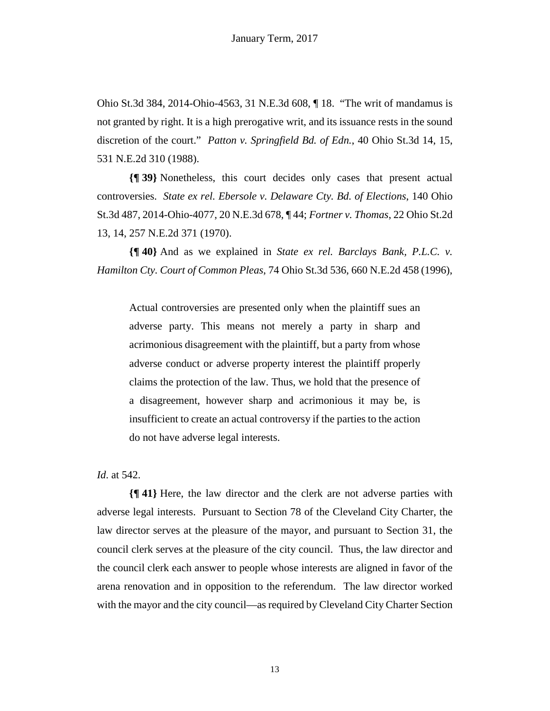Ohio St.3d 384, 2014-Ohio-4563, 31 N.E.3d 608, ¶ 18. "The writ of mandamus is not granted by right. It is a high prerogative writ, and its issuance rests in the sound discretion of the court." *Patton v. Springfield Bd. of Edn.*, 40 Ohio St.3d 14, 15, 531 N.E.2d 310 (1988).

**{¶ 39}** Nonetheless, this court decides only cases that present actual controversies. *State ex rel. Ebersole v. Delaware Cty. Bd. of Elections*, 140 Ohio St.3d 487, 2014-Ohio-4077, 20 N.E.3d 678, ¶ 44; *Fortner v. Thomas*, 22 Ohio St.2d 13, 14, 257 N.E.2d 371 (1970).

**{¶ 40}** And as we explained in *State ex rel. Barclays Bank, P.L.C. v. Hamilton Cty. Court of Common Pleas*, 74 Ohio St.3d 536, 660 N.E.2d 458 (1996),

Actual controversies are presented only when the plaintiff sues an adverse party. This means not merely a party in sharp and acrimonious disagreement with the plaintiff, but a party from whose adverse conduct or adverse property interest the plaintiff properly claims the protection of the law. Thus, we hold that the presence of a disagreement, however sharp and acrimonious it may be, is insufficient to create an actual controversy if the parties to the action do not have adverse legal interests.

*Id*. at 542.

**{¶ 41}** Here, the law director and the clerk are not adverse parties with adverse legal interests. Pursuant to Section 78 of the Cleveland City Charter, the law director serves at the pleasure of the mayor, and pursuant to Section 31, the council clerk serves at the pleasure of the city council. Thus, the law director and the council clerk each answer to people whose interests are aligned in favor of the arena renovation and in opposition to the referendum. The law director worked with the mayor and the city council—as required by Cleveland City Charter Section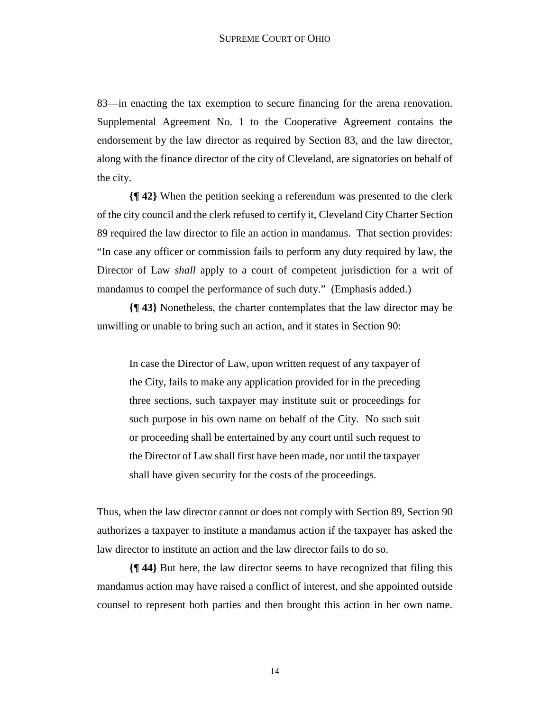83—in enacting the tax exemption to secure financing for the arena renovation. Supplemental Agreement No. 1 to the Cooperative Agreement contains the endorsement by the law director as required by Section 83, and the law director, along with the finance director of the city of Cleveland, are signatories on behalf of the city.

**{¶ 42}** When the petition seeking a referendum was presented to the clerk of the city council and the clerk refused to certify it, Cleveland City Charter Section 89 required the law director to file an action in mandamus. That section provides: "In case any officer or commission fails to perform any duty required by law, the Director of Law *shall* apply to a court of competent jurisdiction for a writ of mandamus to compel the performance of such duty." (Emphasis added.)

**{¶ 43}** Nonetheless, the charter contemplates that the law director may be unwilling or unable to bring such an action, and it states in Section 90:

In case the Director of Law, upon written request of any taxpayer of the City, fails to make any application provided for in the preceding three sections, such taxpayer may institute suit or proceedings for such purpose in his own name on behalf of the City. No such suit or proceeding shall be entertained by any court until such request to the Director of Law shall first have been made, nor until the taxpayer shall have given security for the costs of the proceedings.

Thus, when the law director cannot or does not comply with Section 89, Section 90 authorizes a taxpayer to institute a mandamus action if the taxpayer has asked the law director to institute an action and the law director fails to do so.

**{¶ 44}** But here, the law director seems to have recognized that filing this mandamus action may have raised a conflict of interest, and she appointed outside counsel to represent both parties and then brought this action in her own name.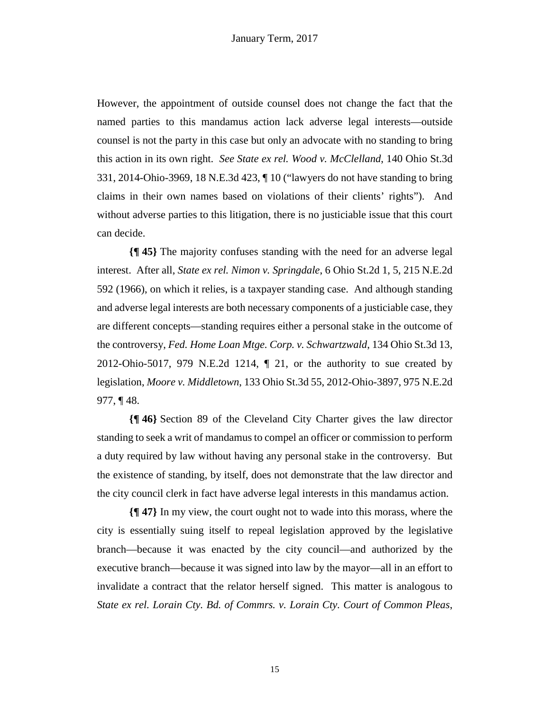However, the appointment of outside counsel does not change the fact that the named parties to this mandamus action lack adverse legal interests—outside counsel is not the party in this case but only an advocate with no standing to bring this action in its own right. *See State ex rel. Wood v. McClelland*, 140 Ohio St.3d 331, 2014-Ohio-3969, 18 N.E.3d 423, ¶ 10 ("lawyers do not have standing to bring claims in their own names based on violations of their clients' rights"). And without adverse parties to this litigation, there is no justiciable issue that this court can decide.

**{¶ 45}** The majority confuses standing with the need for an adverse legal interest. After all, *State ex rel. Nimon v. Springdale*, 6 Ohio St.2d 1, 5, 215 N.E.2d 592 (1966), on which it relies, is a taxpayer standing case. And although standing and adverse legal interests are both necessary components of a justiciable case, they are different concepts—standing requires either a personal stake in the outcome of the controversy, *Fed. Home Loan Mtge. Corp. v. Schwartzwald*, 134 Ohio St.3d 13, 2012-Ohio-5017, 979 N.E.2d 1214, ¶ 21, or the authority to sue created by legislation, *Moore v. Middletown*, 133 Ohio St.3d 55, 2012-Ohio-3897, 975 N.E.2d 977, ¶ 48.

**{¶ 46}** Section 89 of the Cleveland City Charter gives the law director standing to seek a writ of mandamus to compel an officer or commission to perform a duty required by law without having any personal stake in the controversy. But the existence of standing, by itself, does not demonstrate that the law director and the city council clerk in fact have adverse legal interests in this mandamus action.

**{¶ 47}** In my view, the court ought not to wade into this morass, where the city is essentially suing itself to repeal legislation approved by the legislative branch—because it was enacted by the city council—and authorized by the executive branch—because it was signed into law by the mayor—all in an effort to invalidate a contract that the relator herself signed. This matter is analogous to *State ex rel. Lorain Cty. Bd. of Commrs. v. Lorain Cty. Court of Common Pleas*,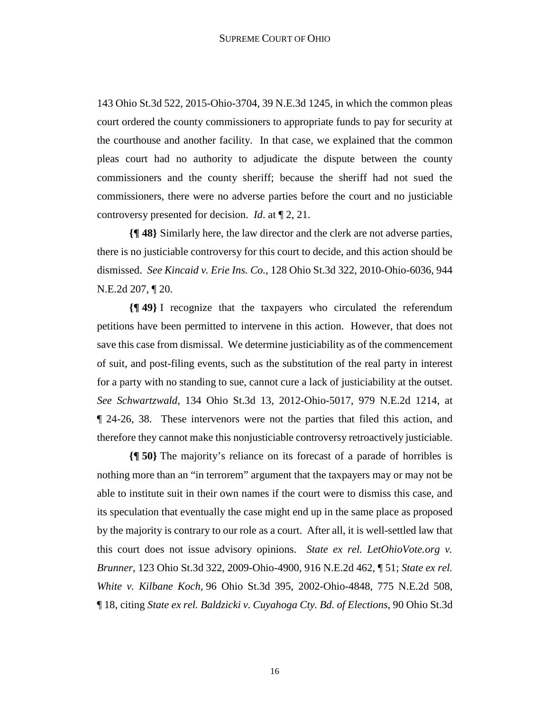143 Ohio St.3d 522, 2015-Ohio-3704, 39 N.E.3d 1245, in which the common pleas court ordered the county commissioners to appropriate funds to pay for security at the courthouse and another facility. In that case, we explained that the common pleas court had no authority to adjudicate the dispute between the county commissioners and the county sheriff; because the sheriff had not sued the commissioners, there were no adverse parties before the court and no justiciable controversy presented for decision. *Id*. at ¶ 2, 21.

**{¶ 48}** Similarly here, the law director and the clerk are not adverse parties, there is no justiciable controversy for this court to decide, and this action should be dismissed. *See Kincaid v. Erie Ins. Co.*, 128 Ohio St.3d 322, 2010-Ohio-6036, 944 N.E.2d 207, ¶ 20.

**{¶ 49}** I recognize that the taxpayers who circulated the referendum petitions have been permitted to intervene in this action. However, that does not save this case from dismissal. We determine justiciability as of the commencement of suit, and post-filing events, such as the substitution of the real party in interest for a party with no standing to sue, cannot cure a lack of justiciability at the outset. *See Schwartzwald*, 134 Ohio St.3d 13, 2012-Ohio-5017, 979 N.E.2d 1214, at ¶ 24-26, 38. These intervenors were not the parties that filed this action, and therefore they cannot make this nonjusticiable controversy retroactively justiciable.

**{¶ 50}** The majority's reliance on its forecast of a parade of horribles is nothing more than an "in terrorem" argument that the taxpayers may or may not be able to institute suit in their own names if the court were to dismiss this case, and its speculation that eventually the case might end up in the same place as proposed by the majority is contrary to our role as a court. After all, it is well-settled law that this court does not issue advisory opinions. *State ex rel. LetOhioVote.org v. Brunner*, 123 Ohio St.3d 322, 2009-Ohio-4900, 916 N.E.2d 462, ¶ 51; *State ex rel. White v. Kilbane Koch*, 96 Ohio St.3d 395, 2002-Ohio-4848, 775 N.E.2d 508, ¶ 18, citing *State ex rel. Baldzicki v. Cuyahoga Cty. Bd. of Elections*, 90 Ohio St.3d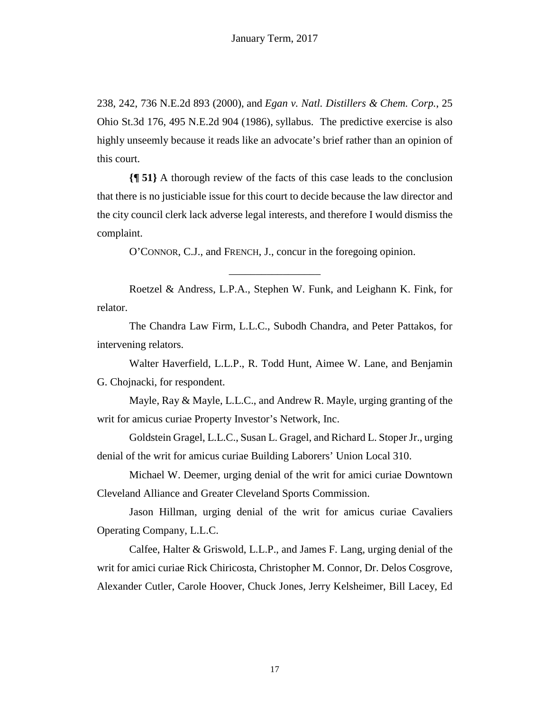238, 242, 736 N.E.2d 893 (2000), and *Egan v. Natl. Distillers & Chem. Corp.*, 25 Ohio St.3d 176, 495 N.E.2d 904 (1986), syllabus. The predictive exercise is also highly unseemly because it reads like an advocate's brief rather than an opinion of this court.

**{¶ 51}** A thorough review of the facts of this case leads to the conclusion that there is no justiciable issue for this court to decide because the law director and the city council clerk lack adverse legal interests, and therefore I would dismiss the complaint.

O'CONNOR, C.J., and FRENCH, J., concur in the foregoing opinion.

\_\_\_\_\_\_\_\_\_\_\_\_\_\_\_\_\_

Roetzel & Andress, L.P.A., Stephen W. Funk, and Leighann K. Fink, for relator.

The Chandra Law Firm, L.L.C., Subodh Chandra, and Peter Pattakos, for intervening relators.

Walter Haverfield, L.L.P., R. Todd Hunt, Aimee W. Lane, and Benjamin G. Chojnacki, for respondent.

Mayle, Ray & Mayle, L.L.C., and Andrew R. Mayle, urging granting of the writ for amicus curiae Property Investor's Network, Inc.

Goldstein Gragel, L.L.C., Susan L. Gragel, and Richard L. Stoper Jr., urging denial of the writ for amicus curiae Building Laborers' Union Local 310.

Michael W. Deemer, urging denial of the writ for amici curiae Downtown Cleveland Alliance and Greater Cleveland Sports Commission.

Jason Hillman, urging denial of the writ for amicus curiae Cavaliers Operating Company, L.L.C.

Calfee, Halter & Griswold, L.L.P., and James F. Lang, urging denial of the writ for amici curiae Rick Chiricosta, Christopher M. Connor, Dr. Delos Cosgrove, Alexander Cutler, Carole Hoover, Chuck Jones, Jerry Kelsheimer, Bill Lacey, Ed